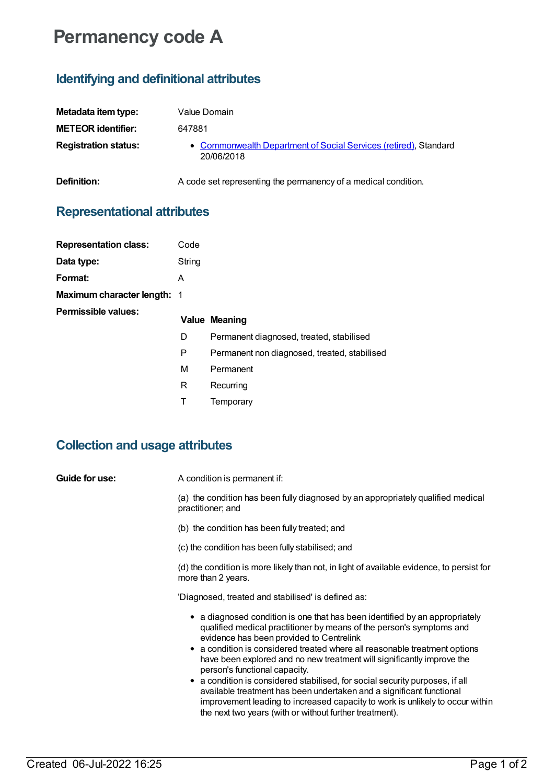# **Permanency code A**

## **Identifying and definitional attributes**

| Metadata item type:         | Value Domain                                                                   |
|-----------------------------|--------------------------------------------------------------------------------|
| <b>METEOR identifier:</b>   | 647881                                                                         |
| <b>Registration status:</b> | • Commonwealth Department of Social Services (retired), Standard<br>20/06/2018 |
| Definition:                 | A code set representing the permanency of a medical condition.                 |

### **Representational attributes**

| <b>Representation class:</b> | Code   |
|------------------------------|--------|
| Data type:                   | String |
| Format:                      | А      |
| Maximum character length: 1  |        |
| Permissible values:          | Value  |
|                              | D      |
|                              |        |

#### **Meaning**

- Permanent diagnosed, treated, stabilised
- Permanent non diagnosed, treated, stabilised
- M Permanent
- R Recurring
- T Temporary

### **Collection and usage attributes**

#### **Guide for use:** A condition is permanent if:

(a) the condition has been fully diagnosed by an appropriately qualified medical practitioner; and

(b) the condition has been fully treated; and

(c) the condition has been fully stabilised; and

(d) the condition is more likely than not, in light of available evidence, to persist for more than 2 years.

'Diagnosed, treated and stabilised' is defined as:

- a diagnosed condition is one that has been identified by an appropriately qualified medical practitioner by means of the person's symptoms and evidence has been provided to Centrelink
- a condition is considered treated where all reasonable treatment options have been explored and no new treatment will significantly improve the person's functional capacity.
- a condition is considered stabilised, for social security purposes, if all available treatment has been undertaken and a significant functional improvement leading to increased capacity to work is unlikely to occur within the next two years (with or without further treatment).